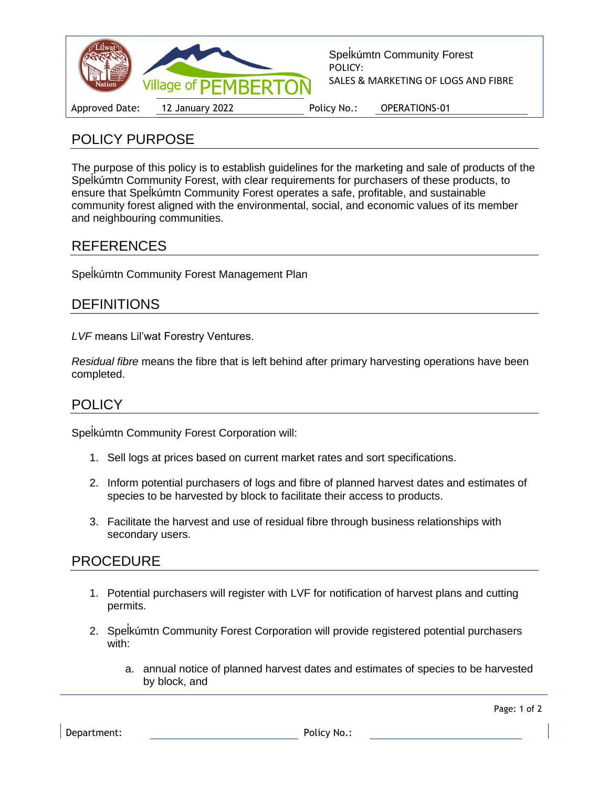

# POLICY PURPOSE

The purpose of this policy is to establish guidelines for the marketing and sale of products of the Spel ̓kúmtn Community Forest, with clear requirements for purchasers of these products, to ensure that Spelkúmtn Community Forest operates a safe, profitable, and sustainable community forest aligned with the environmental, social, and economic values of its member and neighbouring communities.

## REFERENCES

Spel ̓kúmtn Community Forest Management Plan

## **DEFINITIONS**

*LVF* means Lil'wat Forestry Ventures.

*Residual fibre* means the fibre that is left behind after primary harvesting operations have been completed.

### **POLICY**

Spel ̓kúmtn Community Forest Corporation will:

- 1. Sell logs at prices based on current market rates and sort specifications.
- 2. Inform potential purchasers of logs and fibre of planned harvest dates and estimates of species to be harvested by block to facilitate their access to products.
- 3. Facilitate the harvest and use of residual fibre through business relationships with secondary users.

### PROCEDURE

- 1. Potential purchasers will register with LVF for notification of harvest plans and cutting permits.
- 2. Spel ̓kúmtn Community Forest Corporation will provide registered potential purchasers with:
	- a. annual notice of planned harvest dates and estimates of species to be harvested by block, and

Page: 1 of 2

Department: Policy No.: